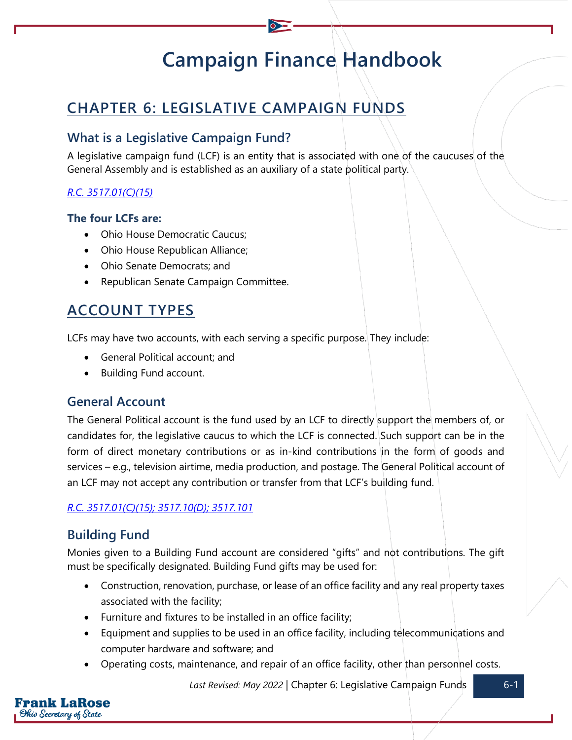# **Campaign Finance Handbook**

# **CHAPTER 6: LEGISLATIVE CAMPAIGN FUNDS**

# **What is a Legislative Campaign Fund?**

A legislative campaign fund (LCF) is an entity that is associated with one of the caucuses of the General Assembly and is established as an auxiliary of a state political party.

#### *[R.C. 3517.01\(C\)\(15\)](https://codes.ohio.gov/ohio-revised-code/section-3517.01)*

#### **The four LCFs are:**

- Ohio House Democratic Caucus;
- Ohio House Republican Alliance;
- Ohio Senate Democrats; and
- Republican Senate Campaign Committee.

# **ACCOUNT TYPES**

LCFs may have two accounts, with each serving a specific purpose. They include:

- General Political account; and
- Building Fund account.

# **General Account**

The General Political account is the fund used by an LCF to directly support the members of, or candidates for, the legislative caucus to which the LCF is connected. Such support can be in the form of direct monetary contributions or as in-kind contributions in the form of goods and services – e.g., television airtime, media production, and postage. The General Political account of an LCF may not accept any contribution or transfer from that LCF's building fund.

#### *[R.C. 3517.01\(C\)\(15\);](https://codes.ohio.gov/ohio-revised-code/section-3517.01) [3517.10\(D\);](https://codes.ohio.gov/ohio-revised-code/section-3517.10) [3517.101](https://codes.ohio.gov/ohio-revised-code/section-3517.101)*

# **Building Fund**

Monies given to a Building Fund account are considered "gifts" and not contributions. The gift must be specifically designated. Building Fund gifts may be used for:

- Construction, renovation, purchase, or lease of an office facility and any real property taxes associated with the facility;
- Furniture and fixtures to be installed in an office facility;
- Equipment and supplies to be used in an office facility, including telecommunications and computer hardware and software; and
- Operating costs, maintenance, and repair of an office facility, other than personnel costs.

Last Revised: May 2022 | Chapter 6: Legislative Campaign Funds 6-1

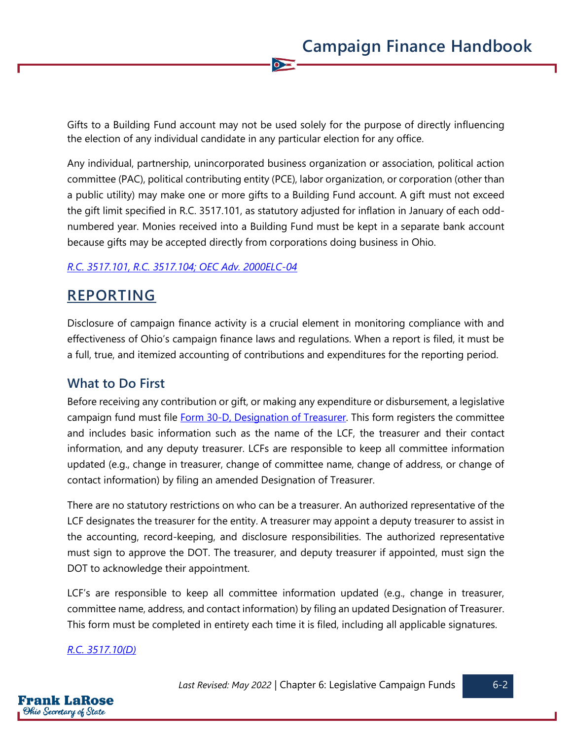Gifts to a Building Fund account may not be used solely for the purpose of directly influencing the election of any individual candidate in any particular election for any office.

 $\overline{\bullet}$ 

Any individual, partnership, unincorporated business organization or association, political action committee (PAC), political contributing entity (PCE), labor organization, or corporation (other than a public utility) may make one or more gifts to a Building Fund account. A gift must not exceed the gift limit specified in R.C. 3517.101, as statutory adjusted for inflation in January of each oddnumbered year. Monies received into a Building Fund must be kept in a separate bank account because gifts may be accepted directly from corporations doing business in Ohio.

#### *[R.C. 3517.101,](https://codes.ohio.gov/ohio-revised-code/section-3517.101) [R.C. 3517.104;](https://codes.ohio.gov/ohio-revised-code/section-3517.104) [OEC Adv. 2000ELC-04](https://elc.ohio.gov/wps/portal/gov/elc/opinions-decisions/advisory-opinions/by-year/2000-04)*

# **REPORTING**

Disclosure of campaign finance activity is a crucial element in monitoring compliance with and effectiveness of Ohio's campaign finance laws and regulations. When a report is filed, it must be a full, true, and itemized accounting of contributions and expenditures for the reporting period.

# **What to Do First**

Before receiving any contribution or gift, or making any expenditure or disbursement, a legislative campaign fund must file [Form 30-D, Designation of Treasurer.](https://www.ohiosos.gov/globalassets/candidates/forms/30d.pdf) This form registers the committee and includes basic information such as the name of the LCF, the treasurer and their contact information, and any deputy treasurer. LCFs are responsible to keep all committee information updated (e.g., change in treasurer, change of committee name, change of address, or change of contact information) by filing an amended Designation of Treasurer.

There are no statutory restrictions on who can be a treasurer. An authorized representative of the LCF designates the treasurer for the entity. A treasurer may appoint a deputy treasurer to assist in the accounting, record-keeping, and disclosure responsibilities. The authorized representative must sign to approve the DOT. The treasurer, and deputy treasurer if appointed, must sign the DOT to acknowledge their appointment.

LCF's are responsible to keep all committee information updated (e.g., change in treasurer, committee name, address, and contact information) by filing an updated Designation of Treasurer. This form must be completed in entirety each time it is filed, including all applicable signatures.

#### *[R.C. 3517.10\(D\)](https://codes.ohio.gov/ohio-revised-code/section-3517.10)*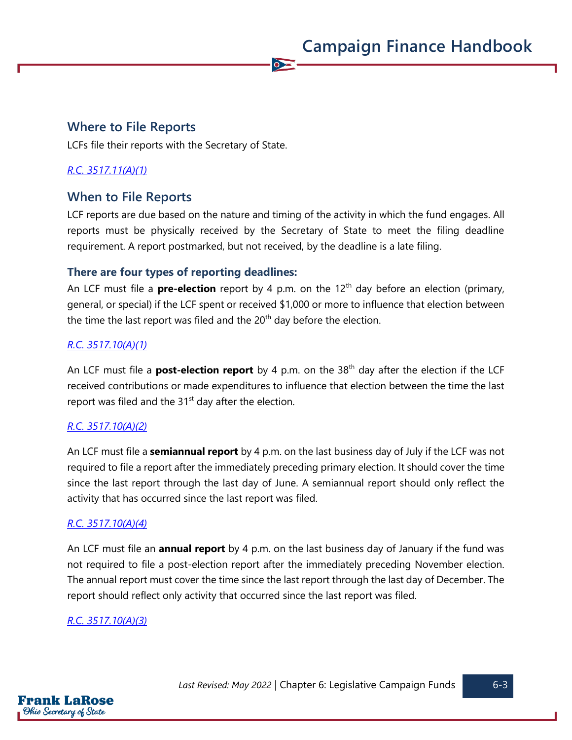# **Where to File Reports**

LCFs file their reports with the Secretary of State.

#### *[R.C. 3517.11\(A\)\(1\)](https://codes.ohio.gov/ohio-revised-code/section-3517.11)*

# **When to File Reports**

LCF reports are due based on the nature and timing of the activity in which the fund engages. All reports must be physically received by the Secretary of State to meet the filing deadline requirement. A report postmarked, but not received, by the deadline is a late filing.

 $\overline{\bullet}$ 

#### **There are four types of reporting deadlines:**

An LCF must file a **pre-election** report by 4 p.m. on the 12<sup>th</sup> day before an election (primary, general, or special) if the LCF spent or received \$1,000 or more to influence that election between the time the last report was filed and the  $20<sup>th</sup>$  day before the election.

#### *[R.C. 3517.10\(A\)\(1\)](https://codes.ohio.gov/ohio-revised-code/section-3517.10)*

An LCF must file a **post-election report** by 4 p.m. on the 38<sup>th</sup> day after the election if the LCF received contributions or made expenditures to influence that election between the time the last report was filed and the  $31<sup>st</sup>$  day after the election.

#### *[R.C. 3517.10\(A\)\(2\)](https://codes.ohio.gov/ohio-revised-code/section-3517.10)*

An LCF must file a **semiannual report** by 4 p.m. on the last business day of July if the LCF was not required to file a report after the immediately preceding primary election. It should cover the time since the last report through the last day of June. A semiannual report should only reflect the activity that has occurred since the last report was filed.

#### *[R.C. 3517.10\(A\)\(4\)](https://codes.ohio.gov/ohio-revised-code/section-3517.10)*

An LCF must file an **annual report** by 4 p.m. on the last business day of January if the fund was not required to file a post-election report after the immediately preceding November election. The annual report must cover the time since the last report through the last day of December. The report should reflect only activity that occurred since the last report was filed.

#### *[R.C. 3517.10\(A\)\(3\)](https://codes.ohio.gov/ohio-revised-code/section-3517.10)*

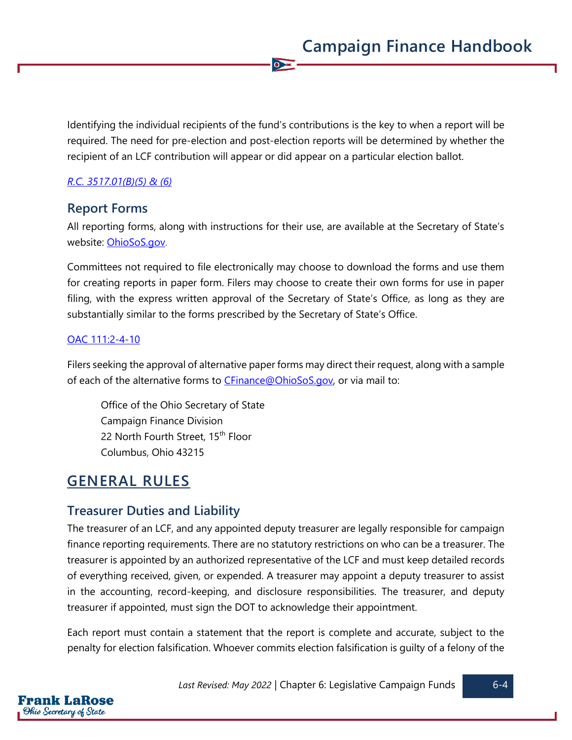Identifying the individual recipients of the fund's contributions is the key to when a report will be required. The need for pre-election and post-election reports will be determined by whether the recipient of an LCF contribution will appear or did appear on a particular election ballot.

 $\overline{\bullet}$ 

#### *[R.C. 3517.01\(B\)\(5\) &](https://codes.ohio.gov/ohio-revised-code/section-3517.01) [\(6\)](https://codes.ohio.gov/ohio-revised-code/section-3517.01)*

# **Report Forms**

All reporting forms, along with instructions for their use, are available at the Secretary of State's website: [OhioSoS.gov.](https://www.ohiosos.gov/campaign-finance/filing-forms/)

Committees not required to file electronically may choose to download the forms and use them for creating reports in paper form. Filers may choose to create their own forms for use in paper filing, with the express written approval of the Secretary of State's Office, as long as they are substantially similar to the forms prescribed by the Secretary of State's Office.

#### [OAC 111:2-4-10](https://codes.ohio.gov/ohio-administrative-code/rule-111:2-4-10)

Filers seeking the approval of alternative paper forms may direct their request, along with a sample of each of the alternative forms to [CFinance@OhioSoS.gov,](mailto:CFinance@OhioSoS.gov) or via mail to:

Office of the Ohio Secretary of State Campaign Finance Division 22 North Fourth Street, 15<sup>th</sup> Floor Columbus, Ohio 43215

# **GENERAL RULES**

# **Treasurer Duties and Liability**

The treasurer of an LCF, and any appointed deputy treasurer are legally responsible for campaign finance reporting requirements. There are no statutory restrictions on who can be a treasurer. The treasurer is appointed by an authorized representative of the LCF and must keep detailed records of everything received, given, or expended. A treasurer may appoint a deputy treasurer to assist in the accounting, record-keeping, and disclosure responsibilities. The treasurer, and deputy treasurer if appointed, must sign the DOT to acknowledge their appointment.

Each report must contain a statement that the report is complete and accurate, subject to the penalty for election falsification. Whoever commits election falsification is guilty of a felony of the

Last Revised: May 2022 | Chapter 6: Legislative Campaign Funds | 6-4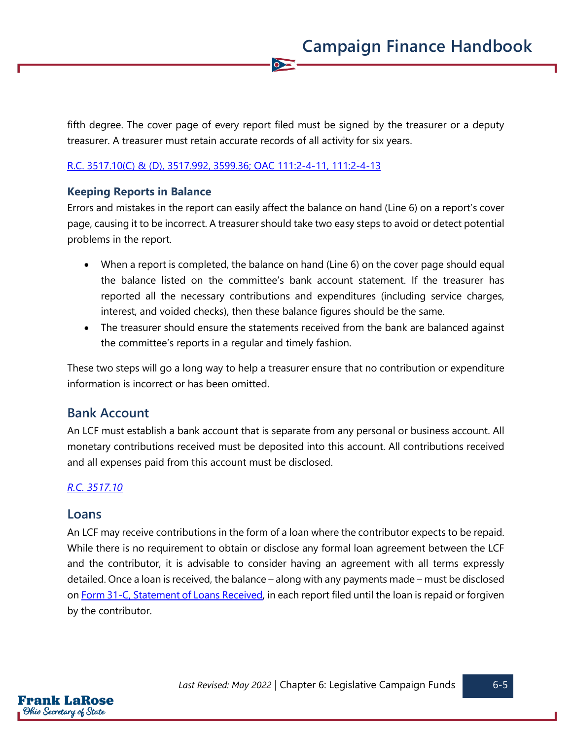fifth degree. The cover page of every report filed must be signed by the treasurer or a deputy treasurer. A treasurer must retain accurate records of all activity for six years.

 $\overline{\bullet}$ 

#### [R.C. 3517.10\(C\)](https://codes.ohio.gov/ohio-revised-code/section-3517.10) & [\(D\),](https://codes.ohio.gov/ohio-revised-code/section-3517.10) [3517.992,](https://codes.ohio.gov/ohio-revised-code/section-3517.992) [3599.36;](https://codes.ohio.gov/ohio-revised-code/section-3599.36) [OAC 111:2-4-11,](https://codes.ohio.gov/ohio-administrative-code/rule-111:2-4-11) [111:2-4-13](https://codes.ohio.gov/ohio-administrative-code/rule-111:2-4-13)

#### **Keeping Reports in Balance**

Errors and mistakes in the report can easily affect the balance on hand (Line 6) on a report's cover page, causing it to be incorrect. A treasurer should take two easy steps to avoid or detect potential problems in the report.

- When a report is completed, the balance on hand (Line 6) on the cover page should equal the balance listed on the committee's bank account statement. If the treasurer has reported all the necessary contributions and expenditures (including service charges, interest, and voided checks), then these balance figures should be the same.
- The treasurer should ensure the statements received from the bank are balanced against the committee's reports in a regular and timely fashion.

These two steps will go a long way to help a treasurer ensure that no contribution or expenditure information is incorrect or has been omitted.

## **Bank Account**

An LCF must establish a bank account that is separate from any personal or business account. All monetary contributions received must be deposited into this account. All contributions received and all expenses paid from this account must be disclosed.

#### *[R.C. 3517.10](https://codes.ohio.gov/ohio-revised-code/section-3517.10)*

#### **Loans**

An LCF may receive contributions in the form of a loan where the contributor expects to be repaid. While there is no requirement to obtain or disclose any formal loan agreement between the LCF and the contributor, it is advisable to consider having an agreement with all terms expressly detailed. Once a loan is received, the balance – along with any payments made – must be disclosed on [Form 31-C, Statement of Loans Received,](https://www.ohiosos.gov/globalassets/candidates/forms/31c.pdf) in each report filed until the loan is repaid or forgiven by the contributor.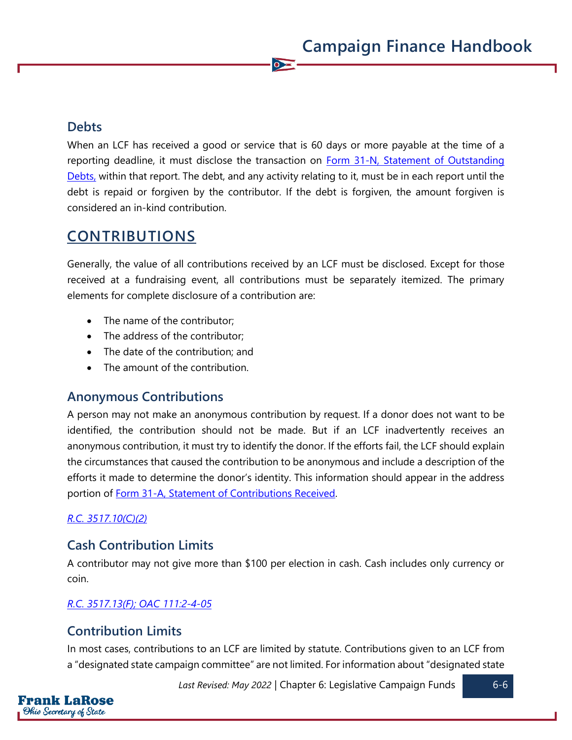# **Debts**

When an LCF has received a good or service that is 60 days or more payable at the time of a reporting deadline, it must disclose the transaction on Form 31-N, Statement of Outstanding [Debts,](https://www.ohiosos.gov/globalassets/candidates/forms/31n.pdf) within that report. The debt, and any activity relating to it, must be in each report until the debt is repaid or forgiven by the contributor. If the debt is forgiven, the amount forgiven is considered an in-kind contribution.

 $\bullet$ 

# **CONTRIBUTIONS**

Generally, the value of all contributions received by an LCF must be disclosed. Except for those received at a fundraising event, all contributions must be separately itemized. The primary elements for complete disclosure of a contribution are:

- The name of the contributor;
- The address of the contributor;
- The date of the contribution; and
- The amount of the contribution.

# **Anonymous Contributions**

A person may not make an anonymous contribution by request. If a donor does not want to be identified, the contribution should not be made. But if an LCF inadvertently receives an anonymous contribution, it must try to identify the donor. If the efforts fail, the LCF should explain the circumstances that caused the contribution to be anonymous and include a description of the efforts it made to determine the donor's identity. This information should appear in the address portion of Form 31-A, Statement [of Contributions Received.](https://www.ohiosos.gov/globalassets/candidates/forms/31a.pdf)

## *[R.C. 3517.10\(C\)\(2\)](https://codes.ohio.gov/ohio-revised-code/section-3517.10)*

# **Cash Contribution Limits**

A contributor may not give more than \$100 per election in cash. Cash includes only currency or coin.

## *[R.C. 3517.13\(F\);](https://codes.ohio.gov/ohio-revised-code/section-3517.13) [OAC 111:2-4-05](https://codes.ohio.gov/ohio-administrative-code/rule-111:2-4-05)*

# **Contribution Limits**

In most cases, contributions to an LCF are limited by statute. Contributions given to an LCF from a "designated state campaign committee" are not limited. For information about "designated state

Last Revised: May 2022 | Chapter 6: Legislative Campaign Funds **6-6**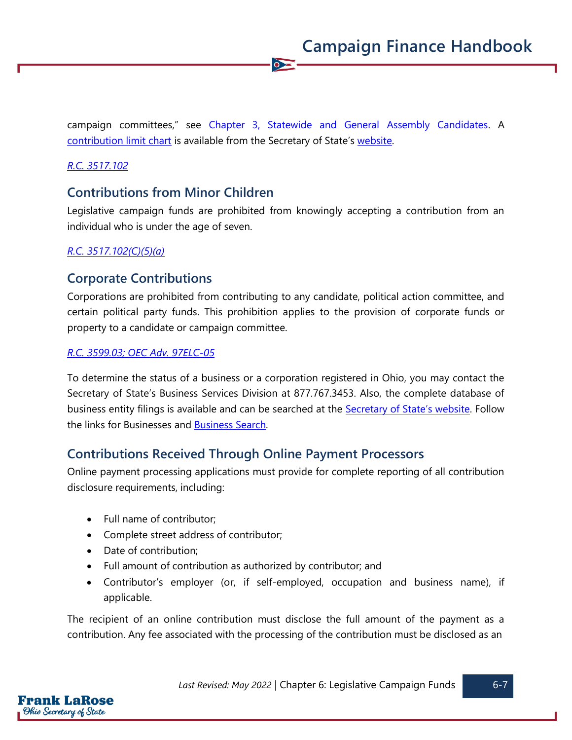campaign committees," see [Chapter 3, Statewide and General Assembly Candidates.](https://www.ohiosos.gov/globalassets/candidates/cfguide/chapters/chapter3.pdf) A [contribution limit chart](https://www.ohiosos.gov/globalassets/candidates/limitchart2021.pdf) is available from the Secretary of State's [website.](https://www.ohiosos.gov/campaign-finance/contribution-limits/)

 $\overline{\bullet}$ 

#### *[R.C. 3517.102](https://codes.ohio.gov/ohio-revised-code/section-3517.102)*

# **Contributions from Minor Children**

Legislative campaign funds are prohibited from knowingly accepting a contribution from an individual who is under the age of seven.

#### *[R.C. 3517.102\(C\)\(5\)\(a\)](https://codes.ohio.gov/ohio-revised-code/section-3517.102)*

# **Corporate Contributions**

Corporations are prohibited from contributing to any candidate, political action committee, and certain political party funds. This prohibition applies to the provision of corporate funds or property to a candidate or campaign committee.

#### *[R.C. 3599.03;](https://codes.ohio.gov/ohio-revised-code/section-3599.03) [OEC Adv. 97ELC-05](https://elc.ohio.gov/wps/portal/gov/elc/opinions-decisions/advisory-opinions/by-year/97-05)*

To determine the status of a business or a corporation registered in Ohio, you may contact the Secretary of State's Business Services Division at 877.767.3453. Also, the complete database of business entity filings is available and can be searched at the **[Secretary of State's website](https://www.ohiosos.gov/)**. Follow the links for Businesses and **Business Search**.

# **Contributions Received Through Online Payment Processors**

Online payment processing applications must provide for complete reporting of all contribution disclosure requirements, including:

- Full name of contributor;
- Complete street address of contributor;
- Date of contribution;
- Full amount of contribution as authorized by contributor; and
- Contributor's employer (or, if self-employed, occupation and business name), if applicable.

The recipient of an online contribution must disclose the full amount of the payment as a contribution. Any fee associated with the processing of the contribution must be disclosed as an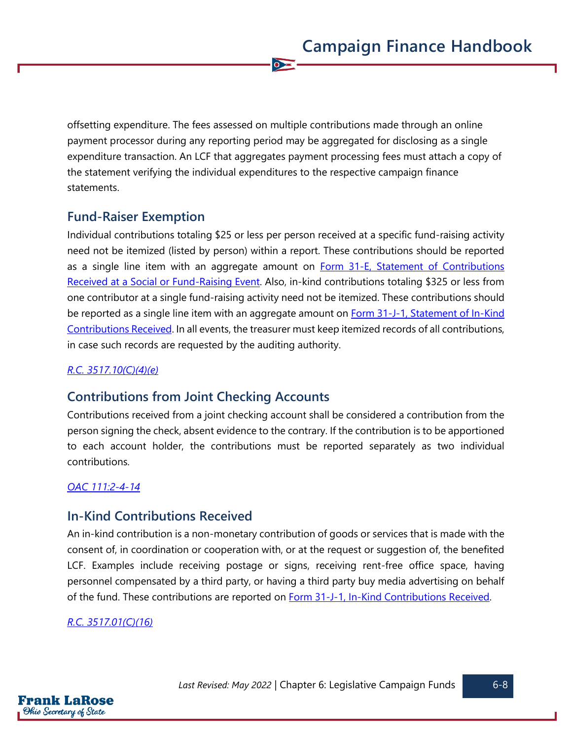offsetting expenditure. The fees assessed on multiple contributions made through an online payment processor during any reporting period may be aggregated for disclosing as a single expenditure transaction. An LCF that aggregates payment processing fees must attach a copy of the statement verifying the individual expenditures to the respective campaign finance statements.

 $\overline{\bullet}$ 

# **Fund-Raiser Exemption**

Individual contributions totaling \$25 or less per person received at a specific fund-raising activity need not be itemized (listed by person) within a report. These contributions should be reported as a single line item with an aggregate amount on Form 31-E, Statement of Contributions [Received at a Social or Fund-Raising Event.](https://www.ohiosos.gov/globalassets/candidates/forms/31e.pdf) Also, in-kind contributions totaling \$325 or less from one contributor at a single fund-raising activity need not be itemized. These contributions should be reported as a single line item with an aggregate amount on **Form 31-J-1**, Statement of In-Kind [Contributions Received.](https://www.ohiosos.gov/globalassets/candidates/forms/31j1.pdf) In all events, the treasurer must keep itemized records of all contributions, in case such records are requested by the auditing authority.

#### *[R.C. 3517.10\(C\)\(4\)\(e\)](https://codes.ohio.gov/ohio-revised-code/section-3517.10)*

# **Contributions from Joint Checking Accounts**

Contributions received from a joint checking account shall be considered a contribution from the person signing the check, absent evidence to the contrary. If the contribution is to be apportioned to each account holder, the contributions must be reported separately as two individual contributions.

#### *[OAC 111:2-4-14](https://codes.ohio.gov/ohio-administrative-code/rule-111:2-4-14)*

# **In-Kind Contributions Received**

An in-kind contribution is a non-monetary contribution of goods or services that is made with the consent of, in coordination or cooperation with, or at the request or suggestion of, the benefited LCF. Examples include receiving postage or signs, receiving rent-free office space, having personnel compensated by a third party, or having a third party buy media advertising on behalf of the fund. These contributions are reported on **Form 31-J-1**, In-Kind Contributions Received.

#### *[R.C. 3517.01\(C\)\(16\)](https://codes.ohio.gov/ohio-revised-code/section-3517.01)*

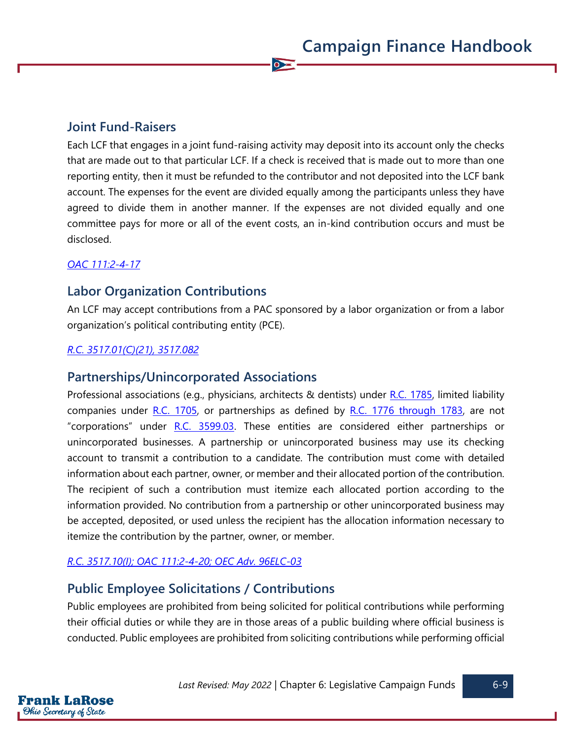# **Joint Fund-Raisers**

Each LCF that engages in a joint fund-raising activity may deposit into its account only the checks that are made out to that particular LCF. If a check is received that is made out to more than one reporting entity, then it must be refunded to the contributor and not deposited into the LCF bank account. The expenses for the event are divided equally among the participants unless they have agreed to divide them in another manner. If the expenses are not divided equally and one committee pays for more or all of the event costs, an in-kind contribution occurs and must be disclosed.

 $\bullet$ 

#### *[OAC 111:2-4-17](https://codes.ohio.gov/ohio-administrative-code/rule-111:2-4-17)*

# **Labor Organization Contributions**

An LCF may accept contributions from a PAC sponsored by a labor organization or from a labor organization's political contributing entity (PCE).

#### *[R.C. 3517.01\(C\)\(21\),](https://codes.ohio.gov/ohio-revised-code/section-3517.01) [3517.082](https://codes.ohio.gov/ohio-revised-code/section-3517.082)*

## **Partnerships/Unincorporated Associations**

Professional associations (e.g., physicians, architects & dentists) under [R.C. 1785,](https://codes.ohio.gov/ohio-revised-code/chapter-1785) limited liability companies under  $R.C.$  1705, or partnerships as defined by  $R.C.$  1776 through 1783, are not "corporations" under [R.C. 3599.03.](https://codes.ohio.gov/ohio-revised-code/section-3599.03) These entities are considered either partnerships or unincorporated businesses. A partnership or unincorporated business may use its checking account to transmit a contribution to a candidate. The contribution must come with detailed information about each partner, owner, or member and their allocated portion of the contribution. The recipient of such a contribution must itemize each allocated portion according to the information provided. No contribution from a partnership or other unincorporated business may be accepted, deposited, or used unless the recipient has the allocation information necessary to itemize the contribution by the partner, owner, or member.

## *[R.C. 3517.10\(I\);](https://codes.ohio.gov/ohio-revised-code/section-3517.10) [OAC 111:2-4-20;](https://codes.ohio.gov/ohio-administrative-code/rule-111:2-4-20) [OEC Adv. 96ELC-03](https://elc.ohio.gov/wps/portal/gov/elc/opinions-decisions/advisory-opinions/by-year/96-03)*

# **Public Employee Solicitations / Contributions**

Public employees are prohibited from being solicited for political contributions while performing their official duties or while they are in those areas of a public building where official business is conducted. Public employees are prohibited from soliciting contributions while performing official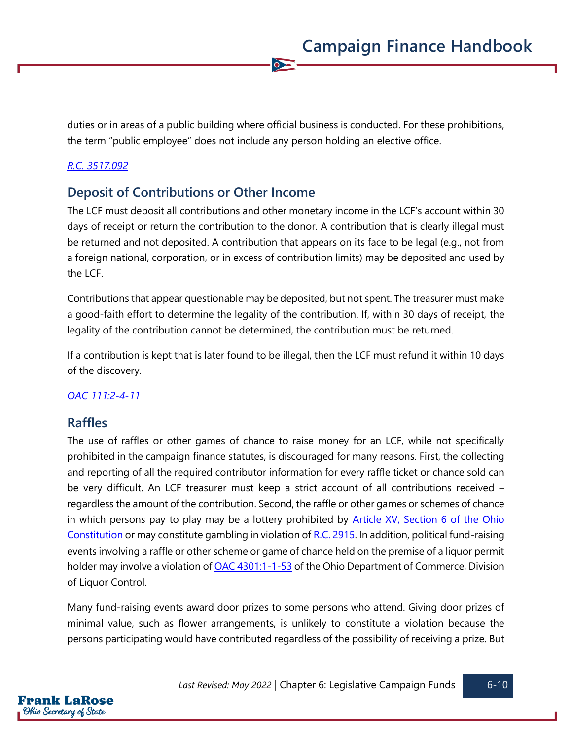duties or in areas of a public building where official business is conducted. For these prohibitions, the term "public employee" does not include any person holding an elective office.

 $\overline{\bullet}$ 

#### *[R.C. 3517.092](https://codes.ohio.gov/ohio-revised-code/section-3517.092)*

# **Deposit of Contributions or Other Income**

The LCF must deposit all contributions and other monetary income in the LCF's account within 30 days of receipt or return the contribution to the donor. A contribution that is clearly illegal must be returned and not deposited. A contribution that appears on its face to be legal (e.g., not from a foreign national, corporation, or in excess of contribution limits) may be deposited and used by the LCF.

Contributions that appear questionable may be deposited, but not spent. The treasurer must make a good-faith effort to determine the legality of the contribution. If, within 30 days of receipt, the legality of the contribution cannot be determined, the contribution must be returned.

If a contribution is kept that is later found to be illegal, then the LCF must refund it within 10 days of the discovery.

#### *[OAC 111:2-4-11](https://codes.ohio.gov/ohio-administrative-code/rule-111:2-4-11)*

#### **Raffles**

The use of raffles or other games of chance to raise money for an LCF, while not specifically prohibited in the campaign finance statutes, is discouraged for many reasons. First, the collecting and reporting of all the required contributor information for every raffle ticket or chance sold can be very difficult. An LCF treasurer must keep a strict account of all contributions received – regardless the amount of the contribution. Second, the raffle or other games or schemes of chance in which persons pay to play may be a lottery prohibited by **Article XV**, Section 6 of the Ohio [Constitution](https://www.legislature.ohio.gov/laws/ohio-constitution/section?const=15.06) or may constitute gambling in violation o[f R.C. 2915.](https://codes.ohio.gov/ohio-revised-code/chapter-2915) In addition, political fund-raising events involving a raffle or other scheme or game of chance held on the premise of a liquor permit holder may involve a violation of **OAC 4301:1-1-53** of the Ohio Department of Commerce, Division of Liquor Control.

Many fund-raising events award door prizes to some persons who attend. Giving door prizes of minimal value, such as flower arrangements, is unlikely to constitute a violation because the persons participating would have contributed regardless of the possibility of receiving a prize. But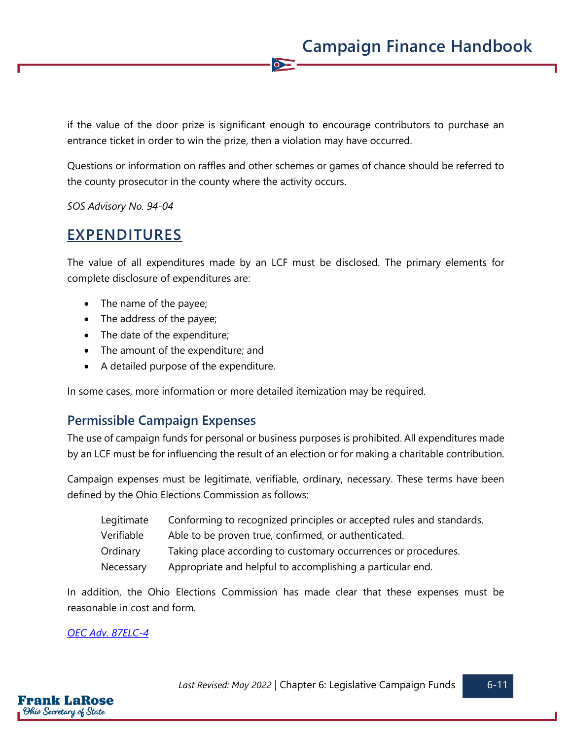if the value of the door prize is significant enough to encourage contributors to purchase an entrance ticket in order to win the prize, then a violation may have occurred.

 $\overline{\bullet}$ 

Questions or information on raffles and other schemes or games of chance should be referred to the county prosecutor in the county where the activity occurs.

*SOS Advisory No. 94-04*

# **EXPENDITURES**

The value of all expenditures made by an LCF must be disclosed. The primary elements for complete disclosure of expenditures are:

- The name of the payee;
- The address of the payee;
- The date of the expenditure;
- The amount of the expenditure; and
- A detailed purpose of the expenditure.

In some cases, more information or more detailed itemization may be required.

# **Permissible Campaign Expenses**

The use of campaign funds for personal or business purposes is prohibited. All expenditures made by an LCF must be for influencing the result of an election or for making a charitable contribution.

Campaign expenses must be legitimate, verifiable, ordinary, necessary. These terms have been defined by the Ohio Elections Commission as follows:

| Legitimate | Conforming to recognized principles or accepted rules and standards. |
|------------|----------------------------------------------------------------------|
| Verifiable | Able to be proven true, confirmed, or authenticated.                 |
| Ordinary   | Taking place according to customary occurrences or procedures.       |
| Necessary  | Appropriate and helpful to accomplishing a particular end.           |

In addition, the Ohio Elections Commission has made clear that these expenses must be reasonable in cost and form.

#### *[OEC Adv. 87ELC-4](https://elc.ohio.gov/wps/portal/gov/elc/opinions-decisions/advisory-opinions/by-year/87-4)*

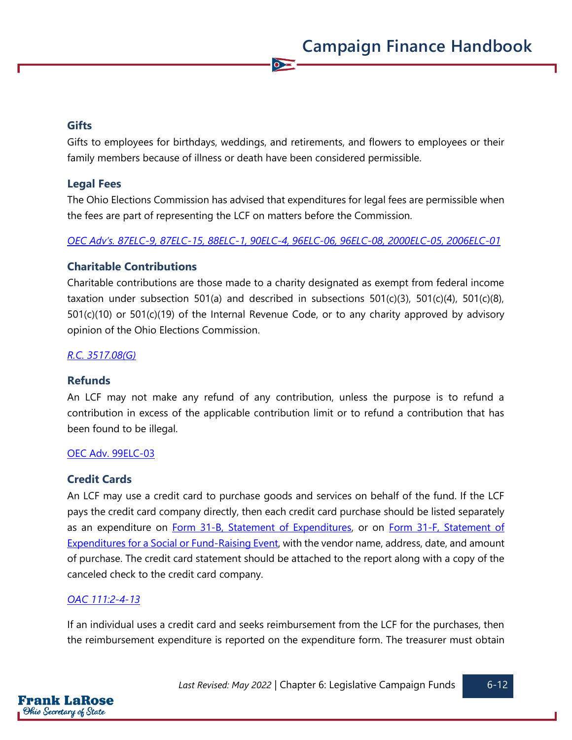#### **Gifts**

Gifts to employees for birthdays, weddings, and retirements, and flowers to employees or their family members because of illness or death have been considered permissible.

 $\bullet$ 

#### **Legal Fees**

The Ohio Elections Commission has advised that expenditures for legal fees are permissible when the fees are part of representing the LCF on matters before the Commission.

*OEC Ad[v's. 87ELC](https://elc.ohio.gov/wps/portal/gov/elc/opinions-decisions/advisory-opinions/by-year/87-9)-9, [87ELC-15,](https://elc.ohio.gov/wps/portal/gov/elc/opinions-decisions/advisory-opinions/by-year/87-15) [88ELC-1,](https://elc.ohio.gov/wps/portal/gov/elc/opinions-decisions/advisory-opinions/by-year/88-1) [90ELC-4,](https://elc.ohio.gov/wps/portal/gov/elc/opinions-decisions/advisory-opinions/by-year/90-4) [96ELC-06,](https://elc.ohio.gov/wps/portal/gov/elc/opinions-decisions/advisory-opinions/by-year/96-06) [96ELC-08,](https://elc.ohio.gov/wps/portal/gov/elc/opinions-decisions/advisory-opinions/by-year/96-08) [2000ELC-05,](https://elc.ohio.gov/wps/portal/gov/elc/opinions-decisions/advisory-opinions/by-year/2000-05) [2006ELC-01](https://elc.ohio.gov/wps/portal/gov/elc/opinions-decisions/advisory-opinions/by-year/2006-01)*

#### **Charitable Contributions**

Charitable contributions are those made to a charity designated as exempt from federal income taxation under subsection 501(a) and described in subsections 501(c)(3), 501(c)(4), 501(c)(8), 501(c)(10) or 501(c)(19) of the Internal Revenue Code, or to any charity approved by advisory opinion of the Ohio Elections Commission.

#### *[R.C. 3517.08\(G\)](https://codes.ohio.gov/ohio-revised-code/section-3517.08)*

#### **Refunds**

An LCF may not make any refund of any contribution, unless the purpose is to refund a contribution in excess of the applicable contribution limit or to refund a contribution that has been found to be illegal.

#### [OEC Adv. 99ELC-03](https://elc.ohio.gov/wps/portal/gov/elc/opinions-decisions/advisory-opinions/by-year/99-03)

#### **Credit Cards**

An LCF may use a credit card to purchase goods and services on behalf of the fund. If the LCF pays the credit card company directly, then each credit card purchase should be listed separately as an expenditure on **Form 31-B, Statement of Expenditures**, or on **Form 31-F**, Statement of [Expenditures for a Social or Fund-Raising Event,](https://www.ohiosos.gov/globalassets/candidates/forms/31f.pdf) with the vendor name, address, date, and amount of purchase. The credit card statement should be attached to the report along with a copy of the canceled check to the credit card company.

#### *[OAC 111:2-4-13](https://codes.ohio.gov/ohio-administrative-code/rule-111:2-4-13)*

If an individual uses a credit card and seeks reimbursement from the LCF for the purchases, then the reimbursement expenditure is reported on the expenditure form. The treasurer must obtain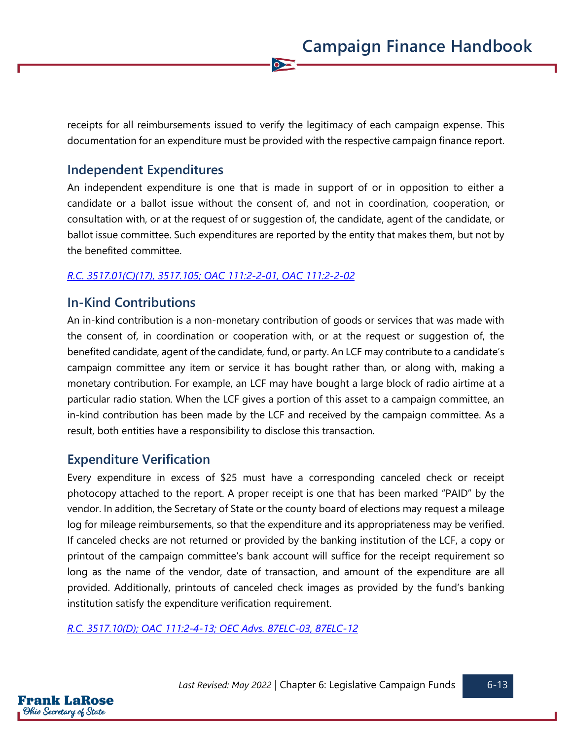receipts for all reimbursements issued to verify the legitimacy of each campaign expense. This documentation for an expenditure must be provided with the respective campaign finance report.

 $\overline{\bullet}$ 

# **Independent Expenditures**

An independent expenditure is one that is made in support of or in opposition to either a candidate or a ballot issue without the consent of, and not in coordination, cooperation, or consultation with, or at the request of or suggestion of, the candidate, agent of the candidate, or ballot issue committee. Such expenditures are reported by the entity that makes them, but not by the benefited committee.

#### *[R.C. 3517.01\(C\)\(17\),](https://codes.ohio.gov/ohio-revised-code/section-3517.01) [3517.105;](https://codes.ohio.gov/ohio-revised-code/section-3517.105) [OAC 111:2-2-01,](https://codes.ohio.gov/ohio-administrative-code/rule-111:2-2-01) [OAC 111:2-2-02](https://codes.ohio.gov/ohio-administrative-code/rule-111:2-2-02)*

# **In-Kind Contributions**

An in-kind contribution is a non-monetary contribution of goods or services that was made with the consent of, in coordination or cooperation with, or at the request or suggestion of, the benefited candidate, agent of the candidate, fund, or party. An LCF may contribute to a candidate's campaign committee any item or service it has bought rather than, or along with, making a monetary contribution. For example, an LCF may have bought a large block of radio airtime at a particular radio station. When the LCF gives a portion of this asset to a campaign committee, an in-kind contribution has been made by the LCF and received by the campaign committee. As a result, both entities have a responsibility to disclose this transaction.

## **Expenditure Verification**

Every expenditure in excess of \$25 must have a corresponding canceled check or receipt photocopy attached to the report. A proper receipt is one that has been marked "PAID" by the vendor. In addition, the Secretary of State or the county board of elections may request a mileage log for mileage reimbursements, so that the expenditure and its appropriateness may be verified. If canceled checks are not returned or provided by the banking institution of the LCF, a copy or printout of the campaign committee's bank account will suffice for the receipt requirement so long as the name of the vendor, date of transaction, and amount of the expenditure are all provided. Additionally, printouts of canceled check images as provided by the fund's banking institution satisfy the expenditure verification requirement.

*[R.C. 3517.10\(D\);](https://codes.ohio.gov/ohio-revised-code/section-3517.10) [OAC 111:2-4-13;](https://codes.ohio.gov/ohio-administrative-code/rule-111:2-4-13) [OEC Advs. 87ELC-03,](https://elc.ohio.gov/wps/portal/gov/elc/opinions-decisions/advisory-opinions/by-year/87-3) [87ELC-12](https://elc.ohio.gov/wps/portal/gov/elc/opinions-decisions/advisory-opinions/by-year/87-12)*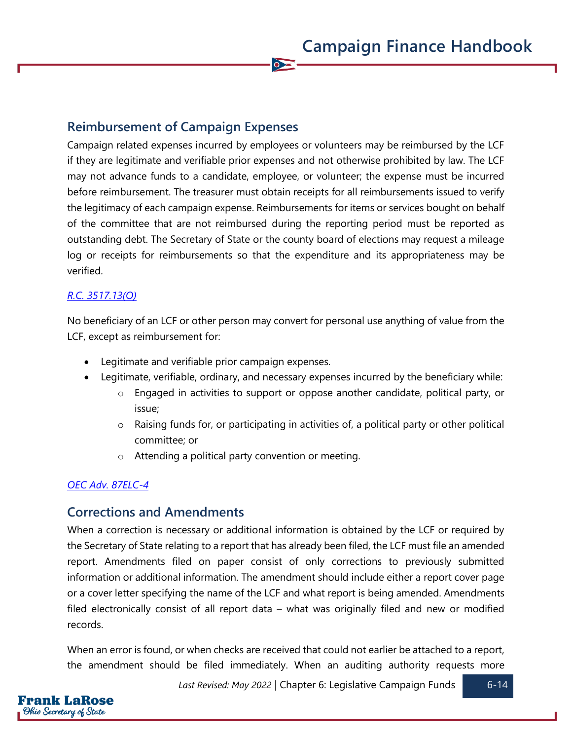# **Reimbursement of Campaign Expenses**

Campaign related expenses incurred by employees or volunteers may be reimbursed by the LCF if they are legitimate and verifiable prior expenses and not otherwise prohibited by law. The LCF may not advance funds to a candidate, employee, or volunteer; the expense must be incurred before reimbursement. The treasurer must obtain receipts for all reimbursements issued to verify the legitimacy of each campaign expense. Reimbursements for items or services bought on behalf of the committee that are not reimbursed during the reporting period must be reported as outstanding debt. The Secretary of State or the county board of elections may request a mileage log or receipts for reimbursements so that the expenditure and its appropriateness may be verified.

 $\sum$ 

#### *[R.C. 3517.13\(O\)](https://codes.ohio.gov/ohio-revised-code/section-3517.13)*

No beneficiary of an LCF or other person may convert for personal use anything of value from the LCF, except as reimbursement for:

- Legitimate and verifiable prior campaign expenses.
- Legitimate, verifiable, ordinary, and necessary expenses incurred by the beneficiary while:
	- o Engaged in activities to support or oppose another candidate, political party, or issue;
	- $\circ$  Raising funds for, or participating in activities of, a political party or other political committee; or
	- o Attending a political party convention or meeting.

#### *[OEC Adv. 87ELC-4](https://elc.ohio.gov/wps/portal/gov/elc/opinions-decisions/advisory-opinions/by-year/87-4)*

# **Corrections and Amendments**

When a correction is necessary or additional information is obtained by the LCF or required by the Secretary of State relating to a report that has already been filed, the LCF must file an amended report. Amendments filed on paper consist of only corrections to previously submitted information or additional information. The amendment should include either a report cover page or a cover letter specifying the name of the LCF and what report is being amended. Amendments filed electronically consist of all report data – what was originally filed and new or modified records.

When an error is found, or when checks are received that could not earlier be attached to a report, the amendment should be filed immediately. When an auditing authority requests more

Last Revised: May 2022 | Chapter 6: Legislative Campaign Funds | 6-14